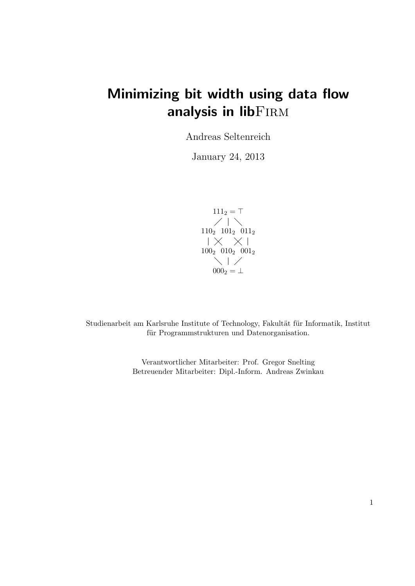# Minimizing bit width using data flow analysis in libFIRM

Andreas Seltenreich

January 24, 2013

$$
\begin{array}{c|c} 111_2 = \top \\ 110_2 \ \ 101_2 \ \ 011_2 \\ \vert \ \times \ \times \ \vert \\ 100_2 \ \ 010_2 \ \ 001_2 \\ \hline \\ 000_2 = \bot \end{array}
$$

Studienarbeit am Karlsruhe Institute of Technology, Fakultät für Informatik, Institut für Programmstrukturen und Datenorganisation.

> Verantwortlicher Mitarbeiter: Prof. Gregor Snelting Betreuender Mitarbeiter: Dipl.-Inform. Andreas Zwinkau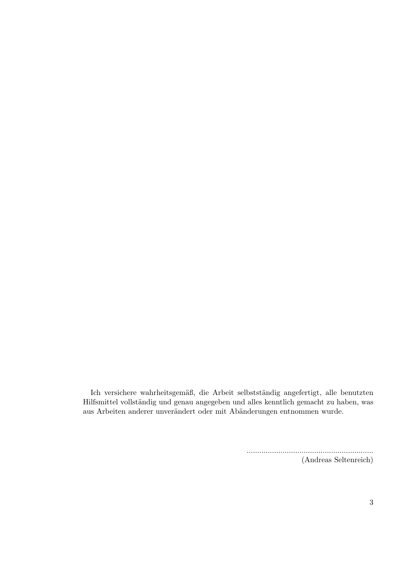Ich versichere wahrheitsgemäß, die Arbeit selbstständig angefertigt, alle benutzten Hilfsmittel vollständig und genau angegeben und alles kenntlich gemacht zu haben, was aus Arbeiten anderer unverändert oder mit Abänderungen entnommen wurde.

> ............................................................ (Andreas Seltenreich)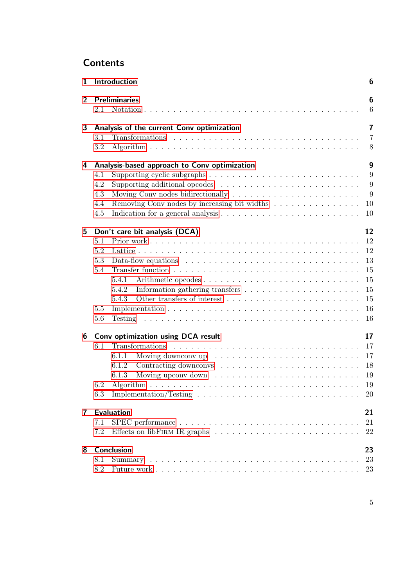## **Contents**

| $\mathbf{1}$   |     | Introduction                                                                                                   | 6              |
|----------------|-----|----------------------------------------------------------------------------------------------------------------|----------------|
| $\overline{2}$ | 2.1 | <b>Preliminaries</b>                                                                                           | 6<br>6         |
| 3              |     | Analysis of the current Conv optimization                                                                      | $\overline{7}$ |
|                | 3.1 |                                                                                                                | $\overline{7}$ |
|                | 3.2 |                                                                                                                | 8              |
| 4              |     | Analysis-based approach to Conv optimization                                                                   | 9              |
|                | 4.1 | Supporting cyclic subgraphs $\ldots \ldots \ldots \ldots \ldots \ldots \ldots \ldots \ldots$                   | 9              |
|                | 4.2 | Supporting additional opcodes $\ldots \ldots \ldots \ldots \ldots \ldots \ldots$                               | $\overline{9}$ |
|                | 4.3 |                                                                                                                | - 9            |
|                | 4.4 | Removing Conv nodes by increasing bit widths                                                                   | 10             |
|                | 4.5 |                                                                                                                | 10             |
| 5              |     | Don't care bit analysis (DCA)                                                                                  | 12             |
|                | 5.1 |                                                                                                                |                |
|                | 5.2 |                                                                                                                | 12             |
|                | 5.3 | Data-flow equations $\ldots \ldots \ldots \ldots \ldots \ldots \ldots \ldots \ldots$                           | 13             |
|                | 5.4 |                                                                                                                | 15             |
|                |     | Arithmetic opcodes<br>5.4.1                                                                                    | 15             |
|                |     | 5.4.2                                                                                                          | 15             |
|                |     | 5.4.3                                                                                                          | 15             |
|                | 5.5 |                                                                                                                | 16             |
|                | 5.6 |                                                                                                                | <b>16</b>      |
| 6              |     | Conv optimization using DCA result                                                                             | 17             |
|                | 6.1 |                                                                                                                | 17             |
|                |     | Moving downconv up $\dots \dots \dots \dots \dots \dots \dots \dots \dots \dots \dots \dots \dots 17$<br>6.1.1 |                |
|                |     | 6.1.2                                                                                                          | 18             |
|                |     | 6.1.3                                                                                                          | 19             |
|                | 6.2 |                                                                                                                | 19             |
|                | 6.3 |                                                                                                                |                |
| $\mathbf{7}$   |     | <b>Evaluation</b>                                                                                              | 21             |
|                | 7.1 |                                                                                                                | 21             |
|                | 7.2 |                                                                                                                | 22             |
| 8              |     | Conclusion                                                                                                     | 23             |
|                | 8.1 |                                                                                                                | 23             |
|                | 8.2 |                                                                                                                | 23             |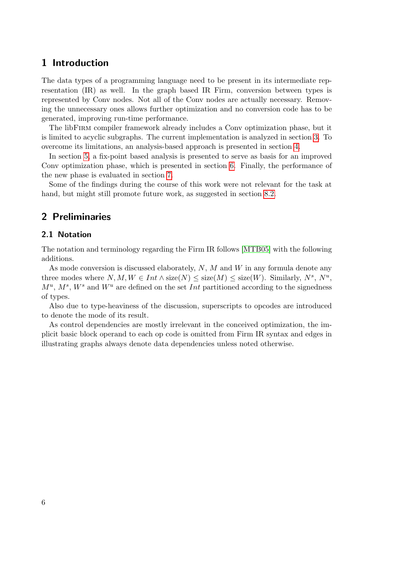## <span id="page-5-0"></span>1 Introduction

The data types of a programming language need to be present in its intermediate representation (IR) as well. In the graph based IR Firm, conversion between types is represented by Conv nodes. Not all of the Conv nodes are actually necessary. Removing the unnecessary ones allows further optimization and no conversion code has to be generated, improving run-time performance.

The libFirm compiler framework already includes a Conv optimization phase, but it is limited to acyclic subgraphs. The current implementation is analyzed in section [3.](#page-6-0) To overcome its limitations, an analysis-based approach is presented in section [4.](#page-8-0)

In section [5,](#page-11-0) a fix-point based analysis is presented to serve as basis for an improved Conv optimization phase, which is presented in section [6.](#page-16-0) Finally, the performance of the new phase is evaluated in section [7.](#page-20-0)

Some of the findings during the course of this work were not relevant for the task at hand, but might still promote future work, as suggested in section [8.2.](#page-22-2)

## <span id="page-5-1"></span>2 Preliminaries

#### <span id="page-5-2"></span>2.1 Notation

The notation and terminology regarding the Firm IR follows [\[MTB05\]](#page-23-0) with the following additions.

As mode conversion is discussed elaborately,  $N$ ,  $M$  and  $W$  in any formula denote any three modes where  $N, M, W \in Int \wedge size(N) \leq size(M) \leq size(W)$ . Similarly,  $N^s, N^u$ ,  $M^u$ ,  $M^s$ ,  $W^s$  and  $W^u$  are defined on the set *Int* partitioned according to the signedness of types.

Also due to type-heaviness of the discussion, superscripts to opcodes are introduced to denote the mode of its result.

As control dependencies are mostly irrelevant in the conceived optimization, the implicit basic block operand to each op code is omitted from Firm IR syntax and edges in illustrating graphs always denote data dependencies unless noted otherwise.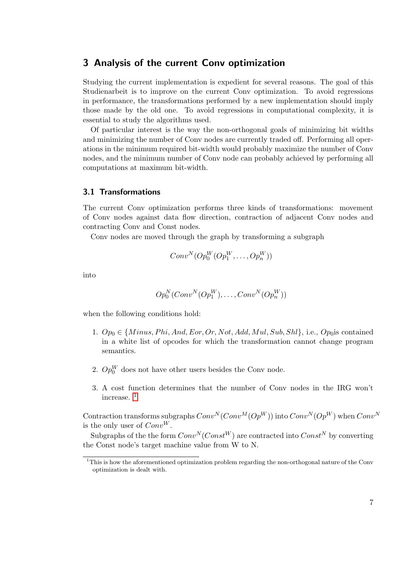## <span id="page-6-0"></span>3 Analysis of the current Conv optimization

Studying the current implementation is expedient for several reasons. The goal of this Studienarbeit is to improve on the current Conv optimization. To avoid regressions in performance, the transformations performed by a new implementation should imply those made by the old one. To avoid regressions in computational complexity, it is essential to study the algorithms used.

Of particular interest is the way the non-orthogonal goals of minimizing bit widths and minimizing the number of Conv nodes are currently traded off. Performing all operations in the minimum required bit-width would probably maximize the number of Conv nodes, and the minimum number of Conv node can probably achieved by performing all computations at maximum bit-width.

#### <span id="page-6-1"></span>3.1 Transformations

The current Conv optimization performs three kinds of transformations: movement of Conv nodes against data flow direction, contraction of adjacent Conv nodes and contracting Conv and Const nodes.

Conv nodes are moved through the graph by transforming a subgraph

$$
Conv^N(Op_0^W(Op_1^W, \ldots, Op_n^W))
$$

into

$$
Op_0^N(Conv^N(Op_1^W), \ldots, Conv^N(Op_n^W))
$$

when the following conditions hold:

- 1.  $Op_0 \in \{Minus, Phi, And, Eor, Or, Not, Add, Mul, Sub, Shl\}, i.e., Op_0$  is contained in a white list of opcodes for which the transformation cannot change program semantics.
- 2.  $Op_0^W$  does not have other users besides the Conv node.
- 3. A cost function determines that the number of Conv nodes in the IRG won't increase. [1](#page-6-2)

Contraction transforms subgraphs  $Conv^N(Conv^M(Op^W))$  into  $Conv^N(Op^W)$  when  $Conv^N$ is the only user of  $Conv^W$ .

Subgraphs of the the form  $Conv^N(Const^W)$  are contracted into  $Const^N$  by converting the Const node's target machine value from W to N.

<span id="page-6-2"></span><sup>&</sup>lt;sup>1</sup>This is how the aforementioned optimization problem regarding the non-orthogonal nature of the Conv optimization is dealt with.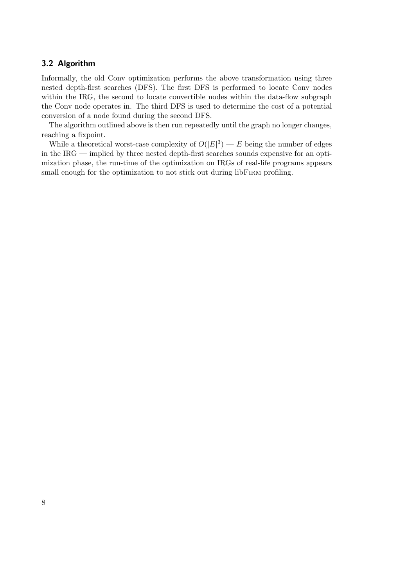## <span id="page-7-0"></span>3.2 Algorithm

Informally, the old Conv optimization performs the above transformation using three nested depth-first searches (DFS). The first DFS is performed to locate Conv nodes within the IRG, the second to locate convertible nodes within the data-flow subgraph the Conv node operates in. The third DFS is used to determine the cost of a potential conversion of a node found during the second DFS.

The algorithm outlined above is then run repeatedly until the graph no longer changes, reaching a fixpoint.

While a theoretical worst-case complexity of  $O(|E|^3)$  – E being the number of edges in the IRG — implied by three nested depth-first searches sounds expensive for an optimization phase, the run-time of the optimization on IRGs of real-life programs appears small enough for the optimization to not stick out during libFIRM profiling.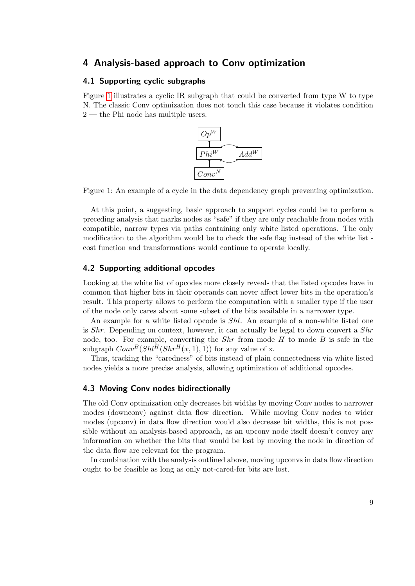## <span id="page-8-0"></span>4 Analysis-based approach to Conv optimization

## <span id="page-8-1"></span>4.1 Supporting cyclic subgraphs

<span id="page-8-4"></span>Figure [1](#page-8-4) illustrates a cyclic IR subgraph that could be converted from type W to type N. The classic Conv optimization does not touch this case because it violates condition 2 — the Phi node has multiple users.



Figure 1: An example of a cycle in the data dependency graph preventing optimization.

At this point, a suggesting, basic approach to support cycles could be to perform a preceding analysis that marks nodes as "safe" if they are only reachable from nodes with compatible, narrow types via paths containing only white listed operations. The only modification to the algorithm would be to check the safe flag instead of the white list cost function and transformations would continue to operate locally.

#### <span id="page-8-2"></span>4.2 Supporting additional opcodes

Looking at the white list of opcodes more closely reveals that the listed opcodes have in common that higher bits in their operands can never affect lower bits in the operation's result. This property allows to perform the computation with a smaller type if the user of the node only cares about some subset of the bits available in a narrower type.

An example for a white listed opcode is *Shl*. An example of a non-white listed one is  $Shr$ . Depending on context, however, it can actually be legal to down convert a  $Shr$ node, too. For example, converting the  $Shr$  from mode H to mode B is safe in the subgraph  $Conv^B(Shl^H(Shr^H(x, 1), 1))$  for any value of x.

Thus, tracking the "caredness" of bits instead of plain connectedness via white listed nodes yields a more precise analysis, allowing optimization of additional opcodes.

#### <span id="page-8-3"></span>4.3 Moving Conv nodes bidirectionally

The old Conv optimization only decreases bit widths by moving Conv nodes to narrower modes (downconv) against data flow direction. While moving Conv nodes to wider modes (upconv) in data flow direction would also decrease bit widths, this is not possible without an analysis-based approach, as an upconv node itself doesn't convey any information on whether the bits that would be lost by moving the node in direction of the data flow are relevant for the program.

In combination with the analysis outlined above, moving upconvs in data flow direction ought to be feasible as long as only not-cared-for bits are lost.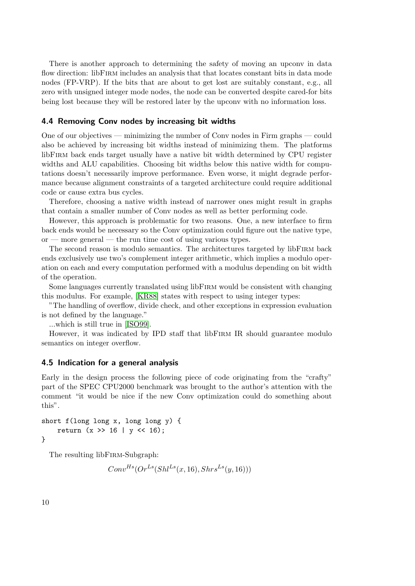There is another approach to determining the safety of moving an upconv in data flow direction: libFIRM includes an analysis that that locates constant bits in data mode nodes (FP-VRP). If the bits that are about to get lost are suitably constant, e.g., all zero with unsigned integer mode nodes, the node can be converted despite cared-for bits being lost because they will be restored later by the upconv with no information loss.

#### <span id="page-9-0"></span>4.4 Removing Conv nodes by increasing bit widths

One of our objectives — minimizing the number of Conv nodes in Firm graphs — could also be achieved by increasing bit widths instead of minimizing them. The platforms libFirm back ends target usually have a native bit width determined by CPU register widths and ALU capabilities. Choosing bit widths below this native width for computations doesn't necessarily improve performance. Even worse, it might degrade performance because alignment constraints of a targeted architecture could require additional code or cause extra bus cycles.

Therefore, choosing a native width instead of narrower ones might result in graphs that contain a smaller number of Conv nodes as well as better performing code.

However, this approach is problematic for two reasons. One, a new interface to firm back ends would be necessary so the Conv optimization could figure out the native type, or — more general — the run time cost of using various types.

The second reason is modulo semantics. The architectures targeted by libFirm back ends exclusively use two's complement integer arithmetic, which implies a modulo operation on each and every computation performed with a modulus depending on bit width of the operation.

Some languages currently translated using libFirm would be consistent with changing this modulus. For example, [\[KR88\]](#page-22-3) states with respect to using integer types:

"The handling of overflow, divide check, and other exceptions in expression evaluation is not defined by the language."

...which is still true in [\[ISO99\]](#page-22-4).

However, it was indicated by IPD staff that libFirm IR should guarantee modulo semantics on integer overflow.

#### <span id="page-9-1"></span>4.5 Indication for a general analysis

Early in the design process the following piece of code originating from the "crafty" part of the SPEC CPU2000 benchmark was brought to the author's attention with the comment "it would be nice if the new Conv optimization could do something about this".

```
short f(long long x, long long y) {
    return (x \gg 16 | y \ll 16);
}
```
The resulting libFIRM-Subgraph:

 $Conv^{Hs}(Or^{Ls}(Shl^{Ls}(x, 16), Shrs^{Ls}(y, 16)))$ 

10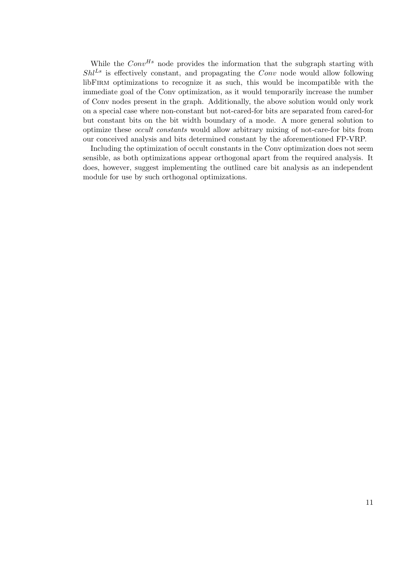While the  $Conv^{Hs}$  node provides the information that the subgraph starting with  $Shl<sup>LS</sup>$  is effectively constant, and propagating the Conv node would allow following libFirm optimizations to recognize it as such, this would be incompatible with the immediate goal of the Conv optimization, as it would temporarily increase the number of Conv nodes present in the graph. Additionally, the above solution would only work on a special case where non-constant but not-cared-for bits are separated from cared-for but constant bits on the bit width boundary of a mode. A more general solution to optimize these occult constants would allow arbitrary mixing of not-care-for bits from our conceived analysis and bits determined constant by the aforementioned FP-VRP.

Including the optimization of occult constants in the Conv optimization does not seem sensible, as both optimizations appear orthogonal apart from the required analysis. It does, however, suggest implementing the outlined care bit analysis as an independent module for use by such orthogonal optimizations.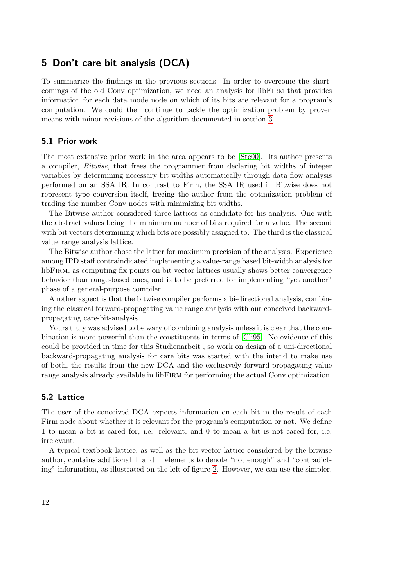## <span id="page-11-0"></span>5 Don't care bit analysis (DCA)

To summarize the findings in the previous sections: In order to overcome the shortcomings of the old Conv optimization, we need an analysis for libFirm that provides information for each data mode node on which of its bits are relevant for a program's computation. We could then continue to tackle the optimization problem by proven means with minor revisions of the algorithm documented in section [3.](#page-6-0)

## <span id="page-11-1"></span>5.1 Prior work

The most extensive prior work in the area appears to be [\[Ste00\]](#page-23-1). Its author presents a compiler, Bitwise, that frees the programmer from declaring bit widths of integer variables by determining necessary bit widths automatically through data flow analysis performed on an SSA IR. In contrast to Firm, the SSA IR used in Bitwise does not represent type conversion itself, freeing the author from the optimization problem of trading the number Conv nodes with minimizing bit widths.

The Bitwise author considered three lattices as candidate for his analysis. One with the abstract values being the minimum number of bits required for a value. The second with bit vectors determining which bits are possibly assigned to. The third is the classical value range analysis lattice.

The Bitwise author chose the latter for maximum precision of the analysis. Experience among IPD staff contraindicated implementing a value-range based bit-width analysis for libFirm, as computing fix points on bit vector lattices usually shows better convergence behavior than range-based ones, and is to be preferred for implementing "yet another" phase of a general-purpose compiler.

Another aspect is that the bitwise compiler performs a bi-directional analysis, combining the classical forward-propagating value range analysis with our conceived backwardpropagating care-bit-analysis.

Yours truly was advised to be wary of combining analysis unless it is clear that the combination is more powerful than the constituents in terms of [\[Cli95\]](#page-22-5). No evidence of this could be provided in time for this Studienarbeit , so work on design of a uni-directional backward-propagating analysis for care bits was started with the intend to make use of both, the results from the new DCA and the exclusively forward-propagating value range analysis already available in libFirm for performing the actual Conv optimization.

#### <span id="page-11-2"></span>5.2 Lattice

The user of the conceived DCA expects information on each bit in the result of each Firm node about whether it is relevant for the program's computation or not. We define 1 to mean a bit is cared for, i.e. relevant, and 0 to mean a bit is not cared for, i.e. irrelevant.

A typical textbook lattice, as well as the bit vector lattice considered by the bitwise author, contains additional  $\perp$  and  $\perp$  elements to denote "not enough" and "contradicting" information, as illustrated on the left of figure [2.](#page-12-1) However, we can use the simpler,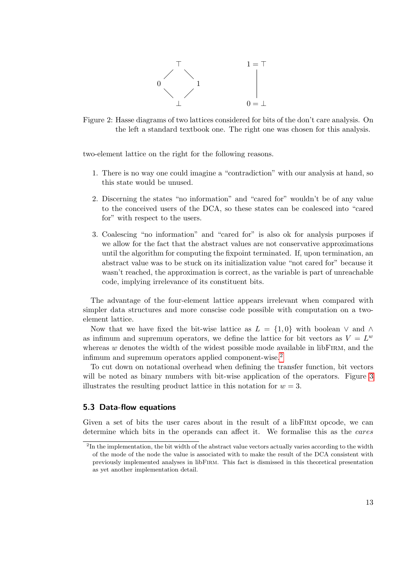

<span id="page-12-1"></span>Figure 2: Hasse diagrams of two lattices considered for bits of the don't care analysis. On the left a standard textbook one. The right one was chosen for this analysis.

two-element lattice on the right for the following reasons.

- 1. There is no way one could imagine a "contradiction" with our analysis at hand, so this state would be unused.
- 2. Discerning the states "no information" and "cared for" wouldn't be of any value to the conceived users of the DCA, so these states can be coalesced into "cared for" with respect to the users.
- 3. Coalescing "no information" and "cared for" is also ok for analysis purposes if we allow for the fact that the abstract values are not conservative approximations until the algorithm for computing the fixpoint terminated. If, upon termination, an abstract value was to be stuck on its initialization value "not cared for" because it wasn't reached, the approximation is correct, as the variable is part of unreachable code, implying irrelevance of its constituent bits.

The advantage of the four-element lattice appears irrelevant when compared with simpler data structures and more conscise code possible with computation on a twoelement lattice.

Now that we have fixed the bit-wise lattice as  $L = \{1,0\}$  with boolean  $\vee$  and  $\wedge$ as infimum and supremum operators, we define the lattice for bit vectors as  $V = L^w$ whereas  $w$  denotes the width of the widest possible mode available in libFIRM, and the infimum and supremum operators applied component-wise.[2](#page-12-2)

To cut down on notational overhead when defining the transfer function, bit vectors will be noted as binary numbers with bit-wise application of the operators. Figure [3](#page-13-0) illustrates the resulting product lattice in this notation for  $w = 3$ .

#### <span id="page-12-0"></span>5.3 Data-flow equations

Given a set of bits the user cares about in the result of a libFIRM opcode, we can determine which bits in the operands can affect it. We formalise this as the *cares* 

<span id="page-12-2"></span><sup>&</sup>lt;sup>2</sup>In the implementation, the bit width of the abstract value vectors actually varies according to the width of the mode of the node the value is associated with to make the result of the DCA consistent with previously implemented analyses in libFirm. This fact is dismissed in this theoretical presentation as yet another implementation detail.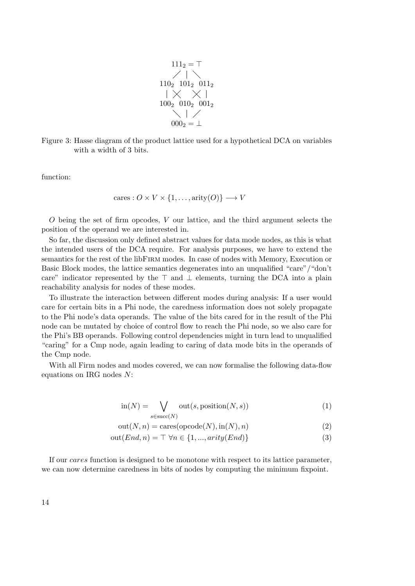$$
1112 = T
$$
  
\n
$$
1102 1012 0112
$$
  
\n
$$
|\times \times |
$$
  
\n
$$
1002 0102 0012
$$
  
\n
$$
0002 = \perp
$$

<span id="page-13-0"></span>Figure 3: Hasse diagram of the product lattice used for a hypothetical DCA on variables with a width of 3 bits.

function:

$$
cares: O \times V \times \{1, \dots, arity(O)\} \longrightarrow V
$$

O being the set of firm opcodes, V our lattice, and the third argument selects the position of the operand we are interested in.

So far, the discussion only defined abstract values for data mode nodes, as this is what the intended users of the DCA require. For analysis purposes, we have to extend the semantics for the rest of the libFirm modes. In case of nodes with Memory, Execution or Basic Block modes, the lattice semantics degenerates into an unqualified "care"/"don't care" indicator represented by the  $\top$  and  $\bot$  elements, turning the DCA into a plain reachability analysis for nodes of these modes.

To illustrate the interaction between different modes during analysis: If a user would care for certain bits in a Phi node, the caredness information does not solely propagate to the Phi node's data operands. The value of the bits cared for in the result of the Phi node can be mutated by choice of control flow to reach the Phi node, so we also care for the Phi's BB operands. Following control dependencies might in turn lead to unqualified "caring" for a Cmp node, again leading to caring of data mode bits in the operands of the Cmp node.

With all Firm nodes and modes covered, we can now formalise the following data-flow equations on IRG nodes N:

$$
in(N) = \bigvee_{s \in succ(N)} out(s, position(N, s))
$$
\n(1)

$$
out(N, n) = \text{cares}(\text{opcode}(N), \text{in}(N), n)
$$
\n(2)

$$
out(End, n) = \top \,\forall n \in \{1, ..., arity(End)\}\
$$
\n(3)

If our cares function is designed to be monotone with respect to its lattice parameter, we can now determine caredness in bits of nodes by computing the minimum fixpoint.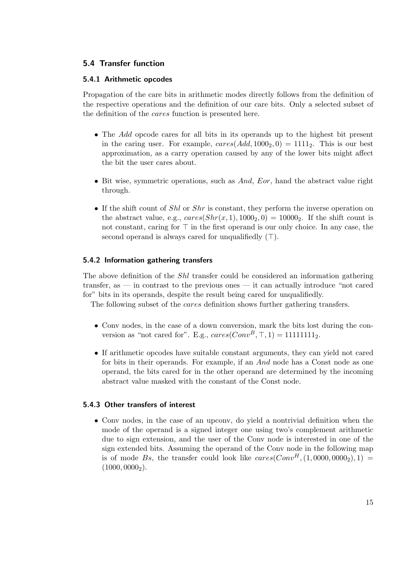## <span id="page-14-0"></span>5.4 Transfer function

## <span id="page-14-1"></span>5.4.1 Arithmetic opcodes

Propagation of the care bits in arithmetic modes directly follows from the definition of the respective operations and the definition of our care bits. Only a selected subset of the definition of the cares function is presented here.

- The Add opcode cares for all bits in its operands up to the highest bit present in the caring user. For example,  $cares(Add, 1000<sub>2</sub>, 0) = 1111<sub>2</sub>$ . This is our best approximation, as a carry operation caused by any of the lower bits might affect the bit the user cares about.
- Bit wise, symmetric operations, such as  $And$ , Eor, hand the abstract value right through.
- If the shift count of  $Shl$  or  $Shr$  is constant, they perform the inverse operation on the abstract value, e.g.,  $cares(Shr(x, 1), 1000<sub>2</sub>, 0) = 10000<sub>2</sub>$ . If the shift count is not constant, caring for  $\top$  in the first operand is our only choice. In any case, the second operand is always cared for unqualifiedly  $(\top)$ .

## <span id="page-14-2"></span>5.4.2 Information gathering transfers

The above definition of the *Shl* transfer could be considered an information gathering transfer, as — in contrast to the previous ones — it can actually introduce "not cared for" bits in its operands, despite the result being cared for unqualifiedly.

The following subset of the cares definition shows further gathering transfers.

- Conv nodes, in the case of a down conversion, mark the bits lost during the conversion as "not cared for". E.g.,  $cares(Conv<sup>B</sup>, T, 1) = 11111111<sub>2</sub>$ .
- If arithmetic opcodes have suitable constant arguments, they can yield not cared for bits in their operands. For example, if an And node has a Const node as one operand, the bits cared for in the other operand are determined by the incoming abstract value masked with the constant of the Const node.

## <span id="page-14-3"></span>5.4.3 Other transfers of interest

• Conv nodes, in the case of an upconv, do yield a nontrivial definition when the mode of the operand is a signed integer one using two's complement arithmetic due to sign extension, and the user of the Conv node is interested in one of the sign extended bits. Assuming the operand of the Conv node in the following map is of mode Bs, the transfer could look like  $cares(Conv<sup>H</sup>, (1,0000,0000<sub>2</sub>), 1)$  =  $(1000, 0000<sub>2</sub>)$ .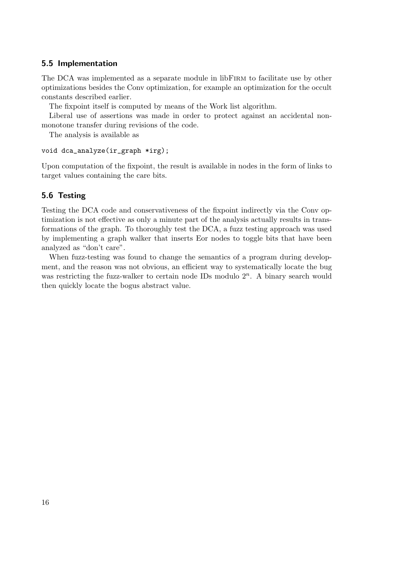## <span id="page-15-0"></span>5.5 Implementation

The DCA was implemented as a separate module in libFIRM to facilitate use by other optimizations besides the Conv optimization, for example an optimization for the occult constants described earlier.

The fixpoint itself is computed by means of the Work list algorithm.

Liberal use of assertions was made in order to protect against an accidental nonmonotone transfer during revisions of the code.

The analysis is available as

```
void dca_analyze(ir_graph *irg);
```
Upon computation of the fixpoint, the result is available in nodes in the form of links to target values containing the care bits.

## <span id="page-15-1"></span>5.6 Testing

Testing the DCA code and conservativeness of the fixpoint indirectly via the Conv optimization is not effective as only a minute part of the analysis actually results in transformations of the graph. To thoroughly test the DCA, a fuzz testing approach was used by implementing a graph walker that inserts Eor nodes to toggle bits that have been analyzed as "don't care".

When fuzz-testing was found to change the semantics of a program during development, and the reason was not obvious, an efficient way to systematically locate the bug was restricting the fuzz-walker to certain node IDs modulo  $2<sup>n</sup>$ . A binary search would then quickly locate the bogus abstract value.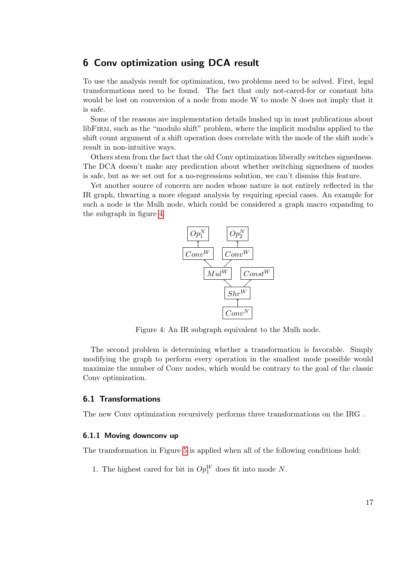## <span id="page-16-0"></span>6 Conv optimization using DCA result

To use the analysis result for optimization, two problems need to be solved. First, legal transformations need to be found. The fact that only not-cared-for or constant bits would be lost on conversion of a node from mode W to mode N does not imply that it is safe.

Some of the reasons are implementation details hushed up in most publications about libFirm, such as the "modulo shift" problem, where the implicit modulus applied to the shift count argument of a shift operation does correlate with the mode of the shift node's result in non-intuitive ways.

Others stem from the fact that the old Conv optimization liberally switches signedness. The DCA doesn't make any predication about whether switching signedness of modes is safe, but as we set out for a no-regressions solution, we can't dismiss this feature.

<span id="page-16-3"></span>Yet another source of concern are nodes whose nature is not entirely reflected in the IR graph, thwarting a more elegant analysis by requiring special cases. An example for such a node is the Mulh node, which could be considered a graph macro expanding to the subgraph in figure [4.](#page-16-3)



Figure 4: An IR subgraph equivalent to the Mulh node.

The second problem is determining whether a transformation is favorable. Simply modifying the graph to perform every operation in the smallest mode possible would maximize the number of Conv nodes, which would be contrary to the goal of the classic Conv optimization.

#### <span id="page-16-1"></span>6.1 Transformations

The new Conv optimization recursively performs three transformations on the IRG .

#### <span id="page-16-2"></span>6.1.1 Moving downconv up

The transformation in Figure [5](#page-17-1) is applied when all of the following conditions hold:

1. The highest cared for bit in  $Op_1^W$  does fit into mode N.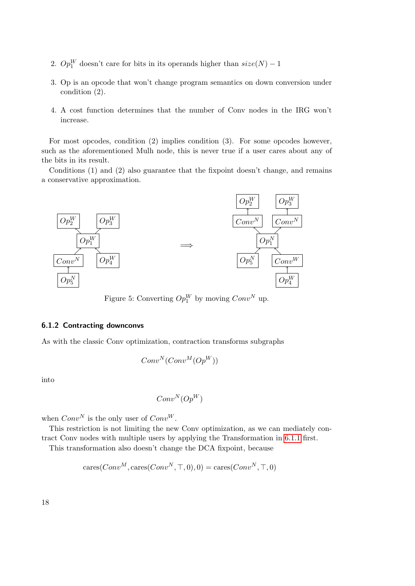- 2.  $Op_1^W$  doesn't care for bits in its operands higher than  $size(N) 1$
- 3. Op is an opcode that won't change program semantics on down conversion under condition (2).
- 4. A cost function determines that the number of Conv nodes in the IRG won't increase.

For most opcodes, condition (2) implies condition (3). For some opcodes however, such as the aforementioned Mulh node, this is never true if a user cares about any of the bits in its result.

Conditions (1) and (2) also guarantee that the fixpoint doesn't change, and remains a conservative approximation.

<span id="page-17-1"></span>

Figure 5: Converting  $Op_1^W$  by moving  $Conv^N$  up.

#### <span id="page-17-0"></span>6.1.2 Contracting downconvs

As with the classic Conv optimization, contraction transforms subgraphs

$$
Conv^N(Conv^M(Op^W))
$$

into

$$
Conv^N(Op^W)\\
$$

when  $Conv^N$  is the only user of  $Conv^W$ .

This restriction is not limiting the new Conv optimization, as we can mediately contract Conv nodes with multiple users by applying the Transformation in [6.1.1](#page-16-2) first.

This transformation also doesn't change the DCA fixpoint, because

$$
cares(Conv^M, cares(Conv^N, \top, 0), 0) = cares(Conv^N, \top, 0)
$$

18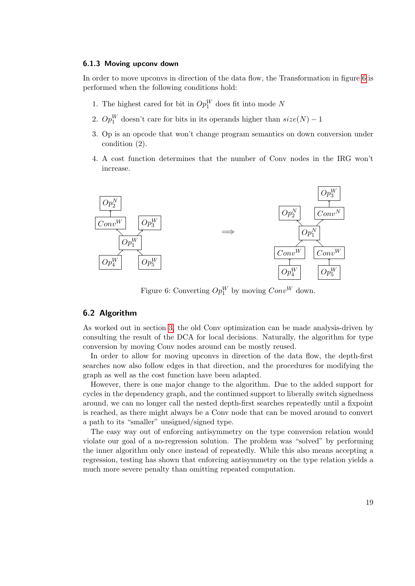#### <span id="page-18-0"></span>6.1.3 Moving upconv down

In order to move upconvs in direction of the data flow, the Transformation in figure [6](#page-18-2) is performed when the following conditions hold:

- 1. The highest cared for bit in  $Op_1^W$  does fit into mode N
- 2.  $Op_1^W$  doesn't care for bits in its operands higher than  $size(N) 1$
- 3. Op is an opcode that won't change program semantics on down conversion under condition (2).
- 4. A cost function determines that the number of Conv nodes in the IRG won't increase.

<span id="page-18-2"></span>

Figure 6: Converting  $Op_1^W$  by moving  $Conv^W$  down.

#### <span id="page-18-1"></span>6.2 Algorithm

As worked out in section [3,](#page-6-0) the old Conv optimization can be made analysis-driven by consulting the result of the DCA for local decisions. Naturally, the algorithm for type conversion by moving Conv nodes around can be mostly reused.

In order to allow for moving upconvs in direction of the data flow, the depth-first searches now also follow edges in that direction, and the procedures for modifying the graph as well as the cost function have been adapted.

However, there is one major change to the algorithm. Due to the added support for cycles in the dependency graph, and the continued support to liberally switch signedness around, we can no longer call the nested depth-first searches repeatedly until a fixpoint is reached, as there might always be a Conv node that can be moved around to convert a path to its "smaller" unsigned/signed type.

The easy way out of enforcing antisymmetry on the type conversion relation would violate our goal of a no-regression solution. The problem was "solved" by performing the inner algorithm only once instead of repeatedly. While this also means accepting a regression, testing has shown that enforcing antisymmetry on the type relation yields a much more severe penalty than omitting repeated computation.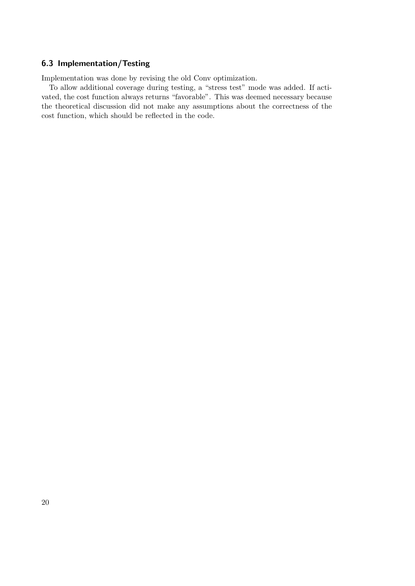## <span id="page-19-0"></span>6.3 Implementation/Testing

Implementation was done by revising the old Conv optimization.

To allow additional coverage during testing, a "stress test" mode was added. If activated, the cost function always returns "favorable". This was deemed necessary because the theoretical discussion did not make any assumptions about the correctness of the cost function, which should be reflected in the code.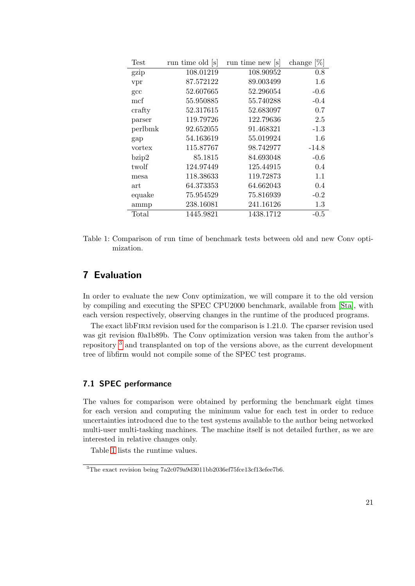<span id="page-20-3"></span>

| <b>Test</b> | run time old [s] | run time new [s] | [%]<br>change |
|-------------|------------------|------------------|---------------|
| gzip        | 108.01219        | 108.90952        | 0.8           |
| vpr         | 87.572122        | 89.003499        | 1.6           |
| gcc         | 52.607665        | 52.296054        | $-0.6$        |
| mcf         | 55.950885        | 55.740288        | $-0.4$        |
| crafty      | 52.317615        | 52.683097        | 0.7           |
| parser      | 119.79726        | 122.79636        | 2.5           |
| perlbmk     | 92.652055        | 91.468321        | $-1.3$        |
| gap         | 54.163619        | 55.019924        | 1.6           |
| vortex      | 115.87767        | 98.742977        | $-14.8$       |
| bzip2       | 85.1815          | 84.693048        | $-0.6$        |
| twolf       | 124.97449        | 125.44915        | 0.4           |
| mesa        | 118.38633        | 119.72873        | 1.1           |
| art         | 64.373353        | 64.662043        | 0.4           |
| equake      | 75.954529        | 75.816939        | $-0.2$        |
| ammp        | 238.16081        | 241.16126        | 1.3           |
| Total       | 1445.9821        | 1438.1712        | $-0.5$        |

Table 1: Comparison of run time of benchmark tests between old and new Conv optimization.

## <span id="page-20-0"></span>7 Evaluation

In order to evaluate the new Conv optimization, we will compare it to the old version by compiling and executing the SPEC CPU2000 benchmark, available from [\[Sta\]](#page-23-2), with each version respectively, observing changes in the runtime of the produced programs.

The exact libFirm revision used for the comparison is 1.21.0. The cparser revision used was git revision f0a1b89b. The Conv optimization version was taken from the author's repository [3](#page-20-2) and transplanted on top of the versions above, as the current development tree of libfirm would not compile some of the SPEC test programs.

## <span id="page-20-1"></span>7.1 SPEC performance

The values for comparison were obtained by performing the benchmark eight times for each version and computing the minimum value for each test in order to reduce uncertainties introduced due to the test systems available to the author being networked multi-user multi-tasking machines. The machine itself is not detailed further, as we are interested in relative changes only.

Table [1](#page-20-3) lists the runtime values.

<span id="page-20-2"></span><sup>&</sup>lt;sup>3</sup>The exact revision being 7a2c079a9d3011bb2036ef75fce13cf13efee7b6.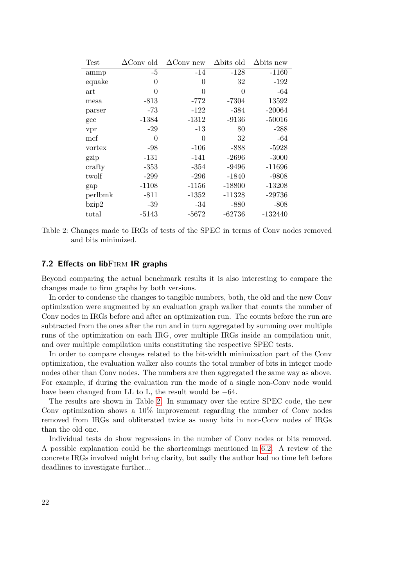<span id="page-21-1"></span>

| <b>Test</b> | $\Delta$ Conv old | $\Delta$ Conv new | $\Delta$ bits old | $\Delta \text{bits new}$ |
|-------------|-------------------|-------------------|-------------------|--------------------------|
| ammp        | $-5$              | $-14$             | $-128$            | $-1160$                  |
| equake      | 0                 | 0                 | 32                | $-192$                   |
| art         | $\theta$          | 0                 | 0                 | $-64$                    |
| mesa        | $-813$            | $-772$            | $-7304$           | 13592                    |
| parser      | $-73$             | $-122$            | $-384$            | $-20064$                 |
| gcc         | $-1384$           | $-1312$           | $-9136$           | $-50016$                 |
| vpr         | $-29$             | $-13$             | 80                | $-288$                   |
| mcf         | $\theta$          | 0                 | 32                | -64                      |
| vortex      | -98               | $-106$            | $-888$            | $-5928$                  |
| gzip        | $-131$            | $-141$            | $-2696$           | $-3000$                  |
| crafty      | $-353$            | $-354$            | $-9496$           | $-11696$                 |
| twolf       | $-299$            | $-296$            | $-1840$           | $-9808$                  |
| gap         | $-1108$           | $-1156$           | $-18800$          | $-13208$                 |
| perlbmk     | $-811$            | $-1352$           | $-11328$          | $-29736$                 |
| bzip2       | $-39$             | $-34$             | -880              | $-808$                   |
| total       | -5143             | $-5672$           | $-62736$          | -132440                  |
|             |                   |                   |                   |                          |

Table 2: Changes made to IRGs of tests of the SPEC in terms of Conv nodes removed and bits minimized.

## <span id="page-21-0"></span>7.2 Effects on lib $FIRM$  IR graphs

Beyond comparing the actual benchmark results it is also interesting to compare the changes made to firm graphs by both versions.

In order to condense the changes to tangible numbers, both, the old and the new Conv optimization were augmented by an evaluation graph walker that counts the number of Conv nodes in IRGs before and after an optimization run. The counts before the run are subtracted from the ones after the run and in turn aggregated by summing over multiple runs of the optimization on each IRG, over multiple IRGs inside an compilation unit, and over multiple compilation units constituting the respective SPEC tests.

In order to compare changes related to the bit-width minimization part of the Conv optimization, the evaluation walker also counts the total number of bits in integer mode nodes other than Conv nodes. The numbers are then aggregated the same way as above. For example, if during the evaluation run the mode of a single non-Conv node would have been changed from LL to L, the result would be  $-64$ .

The results are shown in Table [2.](#page-21-1) In summary over the entire SPEC code, the new Conv optimization shows a 10% improvement regarding the number of Conv nodes removed from IRGs and obliterated twice as many bits in non-Conv nodes of IRGs than the old one.

Individual tests do show regressions in the number of Conv nodes or bits removed. A possible explanation could be the shortcomings mentioned in [6.2.](#page-18-1) A review of the concrete IRGs involved might bring clarity, but sadly the author had no time left before deadlines to investigate further...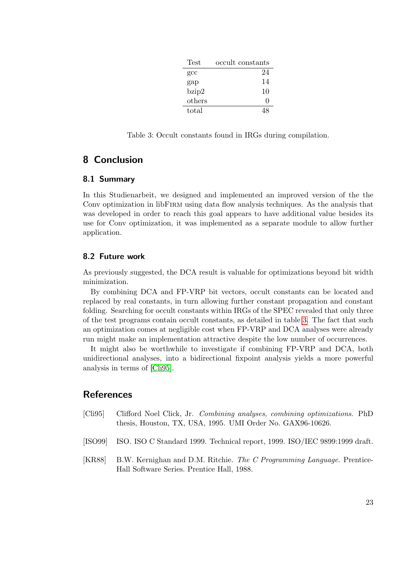| Test         | occult constants |
|--------------|------------------|
| $_{\rm gcc}$ | 24               |
| gap          | 14               |
| bzip2        | 10               |
| others       | $\Box$           |
| total        |                  |

<span id="page-22-6"></span>Table 3: Occult constants found in IRGs during compilation.

## <span id="page-22-0"></span>8 Conclusion

## <span id="page-22-1"></span>8.1 Summary

In this Studienarbeit, we designed and implemented an improved version of the the Conv optimization in libFIRM using data flow analysis techniques. As the analysis that was developed in order to reach this goal appears to have additional value besides its use for Conv optimization, it was implemented as a separate module to allow further application.

## <span id="page-22-2"></span>8.2 Future work

As previously suggested, the DCA result is valuable for optimizations beyond bit width minimization.

By combining DCA and FP-VRP bit vectors, occult constants can be located and replaced by real constants, in turn allowing further constant propagation and constant folding. Searching for occult constants within IRGs of the SPEC revealed that only three of the test programs contain occult constants, as detailed in table [3.](#page-22-6) The fact that such an optimization comes at negligible cost when FP-VRP and DCA analyses were already run might make an implementation attractive despite the low number of occurrences.

It might also be worthwhile to investigate if combining FP-VRP and DCA, both unidirectional analyses, into a bidirectional fixpoint analysis yields a more powerful analysis in terms of [\[Cli95\]](#page-22-5).

## **References**

- <span id="page-22-5"></span>[Cli95] Clifford Noel Click, Jr. Combining analyses, combining optimizations. PhD thesis, Houston, TX, USA, 1995. UMI Order No. GAX96-10626.
- <span id="page-22-4"></span>[ISO99] ISO. ISO C Standard 1999. Technical report, 1999. ISO/IEC 9899:1999 draft.
- <span id="page-22-3"></span>[KR88] B.W. Kernighan and D.M. Ritchie. The C Programming Language. Prentice-Hall Software Series. Prentice Hall, 1988.